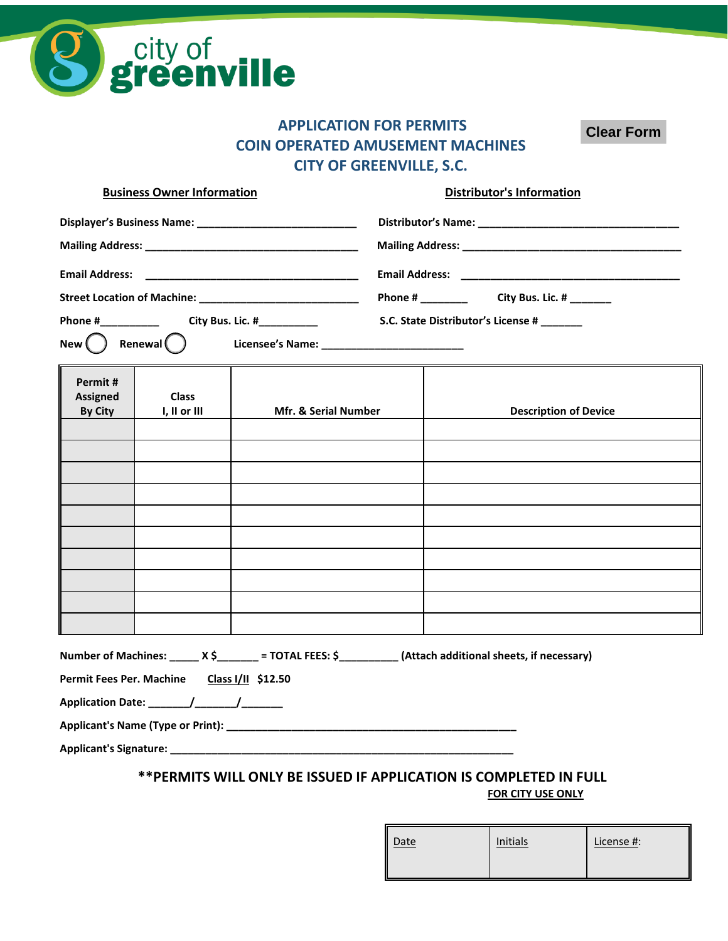

## **APPLICATION FOR PERMITS COIN OPERATED AMUSEMENT MACHINES CITY OF GREENVILLE, S.C.**

**Clear Form**

| <b>Business Owner Information</b>                            |                                             |                                                                                                               | <b>Distributor's Information</b> |                                            |                              |  |
|--------------------------------------------------------------|---------------------------------------------|---------------------------------------------------------------------------------------------------------------|----------------------------------|--------------------------------------------|------------------------------|--|
| Displayer's Business Name: _________________________________ |                                             |                                                                                                               |                                  |                                            |                              |  |
|                                                              |                                             |                                                                                                               |                                  |                                            |                              |  |
|                                                              |                                             |                                                                                                               |                                  |                                            |                              |  |
|                                                              |                                             |                                                                                                               |                                  |                                            |                              |  |
|                                                              |                                             |                                                                                                               |                                  | S.C. State Distributor's License # _______ |                              |  |
|                                                              | $New$ $\binom{3}{2}$ Renewal $\binom{3}{2}$ |                                                                                                               |                                  |                                            |                              |  |
| Permit#<br><b>Assigned</b><br><b>By City</b>                 | <b>Class</b><br>I, II or III                | Mfr. & Serial Number                                                                                          |                                  |                                            | <b>Description of Device</b> |  |
|                                                              |                                             |                                                                                                               |                                  |                                            |                              |  |
|                                                              |                                             |                                                                                                               |                                  |                                            |                              |  |
|                                                              |                                             |                                                                                                               |                                  |                                            |                              |  |
|                                                              |                                             |                                                                                                               |                                  |                                            |                              |  |
|                                                              |                                             |                                                                                                               |                                  |                                            |                              |  |
|                                                              |                                             |                                                                                                               |                                  |                                            |                              |  |
|                                                              |                                             |                                                                                                               |                                  |                                            |                              |  |
|                                                              |                                             |                                                                                                               |                                  |                                            |                              |  |
|                                                              |                                             |                                                                                                               |                                  |                                            |                              |  |
|                                                              |                                             | Number of Machines: _______ X \$________ = TOTAL FEES: \$___________ (Attach additional sheets, if necessary) |                                  |                                            |                              |  |
|                                                              | Permit Fees Per. Machine Class I/II \$12.50 |                                                                                                               |                                  |                                            |                              |  |
|                                                              |                                             |                                                                                                               |                                  |                                            |                              |  |

**Applicant's Name (Type or Print): \_\_\_\_\_\_\_\_\_\_\_\_\_\_\_\_\_\_\_\_\_\_\_\_\_\_\_\_\_\_\_\_\_\_\_\_\_\_\_\_\_\_\_\_\_\_\_\_\_**

**Applicant's Signature: \_\_\_\_\_\_\_\_\_\_\_\_\_\_\_\_\_\_\_\_\_\_\_\_\_\_\_\_\_\_\_\_\_\_\_\_\_\_\_\_\_\_\_\_\_\_\_\_\_\_\_\_\_\_\_\_\_\_**

## **\*\*PERMITS WILL ONLY BE ISSUED IF APPLICATION IS COMPLETED IN FULL**

**FOR CITY USE ONLY**

| <b>Date</b> | Initials | License #: |
|-------------|----------|------------|
|             |          |            |